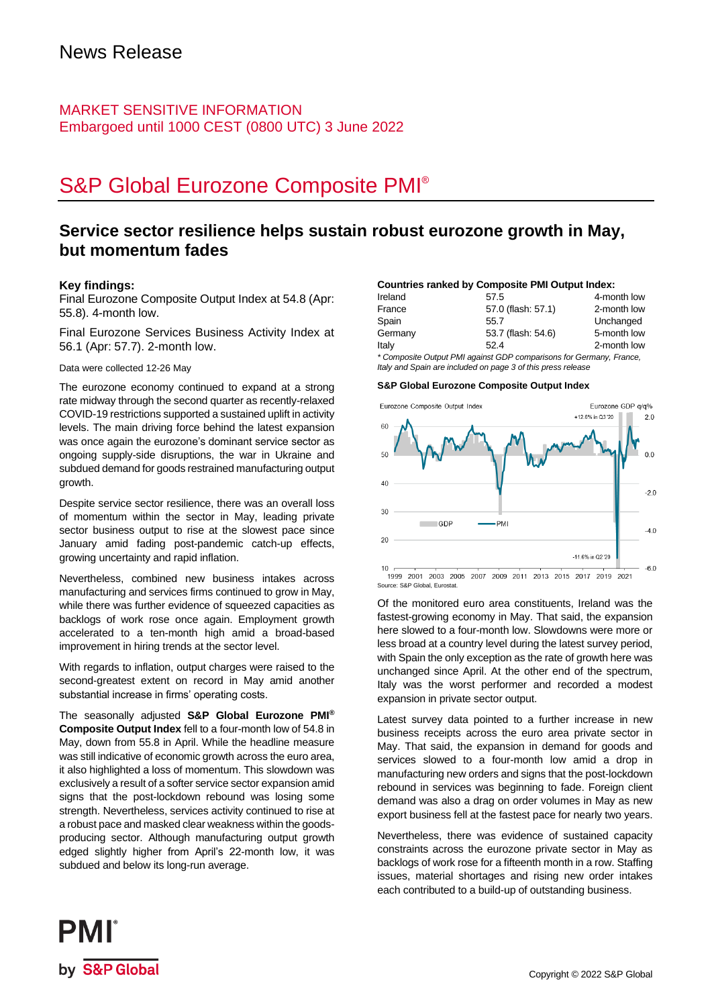### MARKET SENSITIVE INFORMATION Embargoed until 1000 CEST (0800 UTC) 3 June 2022

# S&P Global Eurozone Composite PMI®

### **Service sector resilience helps sustain robust eurozone growth in May, but momentum fades**

#### **Key findings:**

Final Eurozone Composite Output Index at 54.8 (Apr: 55.8). 4-month low.

Final Eurozone Services Business Activity Index at 56.1 (Apr: 57.7). 2-month low.

Data were collected 12-26 May

The eurozone economy continued to expand at a strong rate midway through the second quarter as recently-relaxed COVID-19 restrictions supported a sustained uplift in activity levels. The main driving force behind the latest expansion was once again the eurozone's dominant service sector as ongoing supply-side disruptions, the war in Ukraine and subdued demand for goods restrained manufacturing output growth.

Despite service sector resilience, there was an overall loss of momentum within the sector in May, leading private sector business output to rise at the slowest pace since January amid fading post-pandemic catch-up effects, growing uncertainty and rapid inflation.

Nevertheless, combined new business intakes across manufacturing and services firms continued to grow in May, while there was further evidence of squeezed capacities as backlogs of work rose once again. Employment growth accelerated to a ten-month high amid a broad-based improvement in hiring trends at the sector level.

With regards to inflation, output charges were raised to the second-greatest extent on record in May amid another substantial increase in firms' operating costs.

The seasonally adjusted **S&P Global Eurozone PMI® Composite Output Index** fell to a four-month low of 54.8 in May, down from 55.8 in April. While the headline measure was still indicative of economic growth across the euro area, it also highlighted a loss of momentum. This slowdown was exclusively a result of a softer service sector expansion amid signs that the post-lockdown rebound was losing some strength. Nevertheless, services activity continued to rise at a robust pace and masked clear weakness within the goodsproducing sector. Although manufacturing output growth edged slightly higher from April's 22-month low, it was subdued and below its long-run average.

#### **Countries ranked by Composite PMI Output Index:**

| Ireland | 57.5                                                                                                  | 4-month low |
|---------|-------------------------------------------------------------------------------------------------------|-------------|
| France  | 57.0 (flash: 57.1)                                                                                    | 2-month low |
| Spain   | 55.7                                                                                                  | Unchanged   |
| Germany | 53.7 (flash: 54.6)                                                                                    | 5-month low |
| Italy   | 52.4                                                                                                  | 2-month low |
|         | $*$ Oranger the Order of DMI analyzed ODD against the condition of $\sim$ Orange $\sim$ $\sim$ $\sim$ |             |

*\* Composite Output PMI against GDP comparisons for Germany, France, Italy and Spain are included on page 3 of this press release*

#### **S&P Global Eurozone Composite Output Index**



Of the monitored euro area constituents, Ireland was the fastest-growing economy in May. That said, the expansion here slowed to a four-month low. Slowdowns were more or less broad at a country level during the latest survey period, with Spain the only exception as the rate of growth here was unchanged since April. At the other end of the spectrum, Italy was the worst performer and recorded a modest expansion in private sector output.

Latest survey data pointed to a further increase in new business receipts across the euro area private sector in May. That said, the expansion in demand for goods and services slowed to a four-month low amid a drop in manufacturing new orders and signs that the post-lockdown rebound in services was beginning to fade. Foreign client demand was also a drag on order volumes in May as new export business fell at the fastest pace for nearly two years.

Nevertheless, there was evidence of sustained capacity constraints across the eurozone private sector in May as backlogs of work rose for a fifteenth month in a row. Staffing issues, material shortages and rising new order intakes each contributed to a build-up of outstanding business.

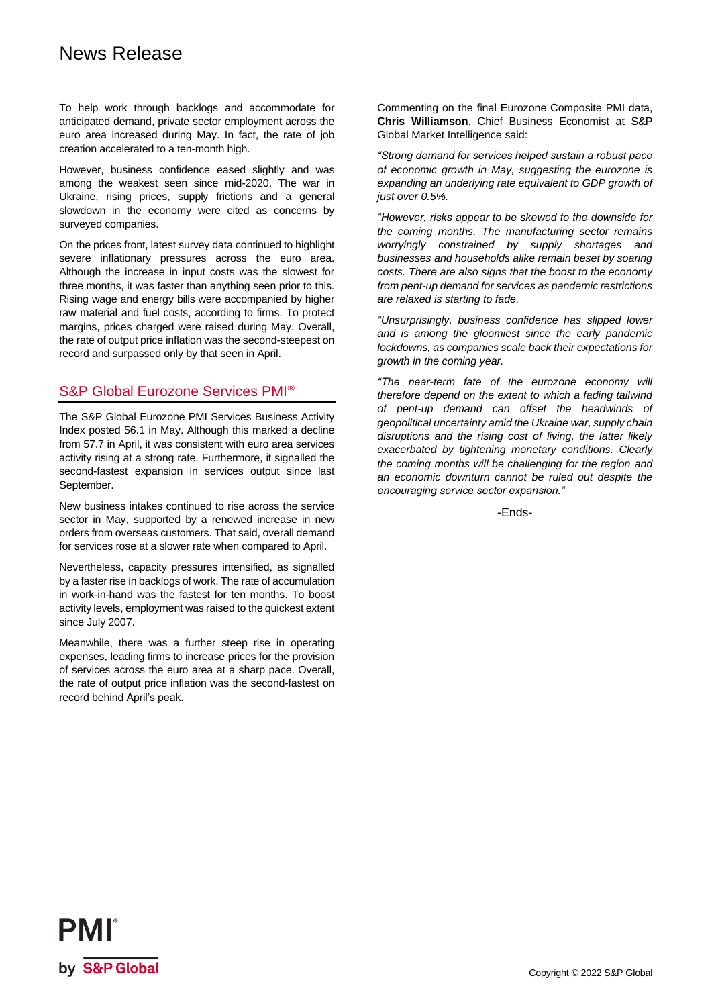## News Release

To help work through backlogs and accommodate for anticipated demand, private sector employment across the euro area increased during May. In fact, the rate of job creation accelerated to a ten-month high.

However, business confidence eased slightly and was among the weakest seen since mid-2020. The war in Ukraine, rising prices, supply frictions and a general slowdown in the economy were cited as concerns by surveyed companies.

On the prices front, latest survey data continued to highlight severe inflationary pressures across the euro area. Although the increase in input costs was the slowest for three months, it was faster than anything seen prior to this. Rising wage and energy bills were accompanied by higher raw material and fuel costs, according to firms. To protect margins, prices charged were raised during May. Overall, the rate of output price inflation was the second-steepest on record and surpassed only by that seen in April.

### S&P Global Eurozone Services PMI®

The S&P Global Eurozone PMI Services Business Activity Index posted 56.1 in May. Although this marked a decline from 57.7 in April, it was consistent with euro area services activity rising at a strong rate. Furthermore, it signalled the second-fastest expansion in services output since last September.

New business intakes continued to rise across the service sector in May, supported by a renewed increase in new orders from overseas customers. That said, overall demand for services rose at a slower rate when compared to April.

Nevertheless, capacity pressures intensified, as signalled by a faster rise in backlogs of work. The rate of accumulation in work-in-hand was the fastest for ten months. To boost activity levels, employment was raised to the quickest extent since July 2007.

Meanwhile, there was a further steep rise in operating expenses, leading firms to increase prices for the provision of services across the euro area at a sharp pace. Overall, the rate of output price inflation was the second-fastest on record behind April's peak.

Commenting on the final Eurozone Composite PMI data, **Chris Williamson**, Chief Business Economist at S&P Global Market Intelligence said:

*"Strong demand for services helped sustain a robust pace of economic growth in May, suggesting the eurozone is expanding an underlying rate equivalent to GDP growth of just over 0.5%.*

*"However, risks appear to be skewed to the downside for the coming months. The manufacturing sector remains worryingly constrained by supply shortages and businesses and households alike remain beset by soaring costs. There are also signs that the boost to the economy from pent-up demand for services as pandemic restrictions are relaxed is starting to fade.*

*"Unsurprisingly, business confidence has slipped lower and is among the gloomiest since the early pandemic lockdowns, as companies scale back their expectations for growth in the coming year.* 

*"The near-term fate of the eurozone economy will therefore depend on the extent to which a fading tailwind of pent-up demand can offset the headwinds of geopolitical uncertainty amid the Ukraine war, supply chain disruptions and the rising cost of living, the latter likely exacerbated by tightening monetary conditions. Clearly the coming months will be challenging for the region and an economic downturn cannot be ruled out despite the encouraging service sector expansion."*

-Ends-

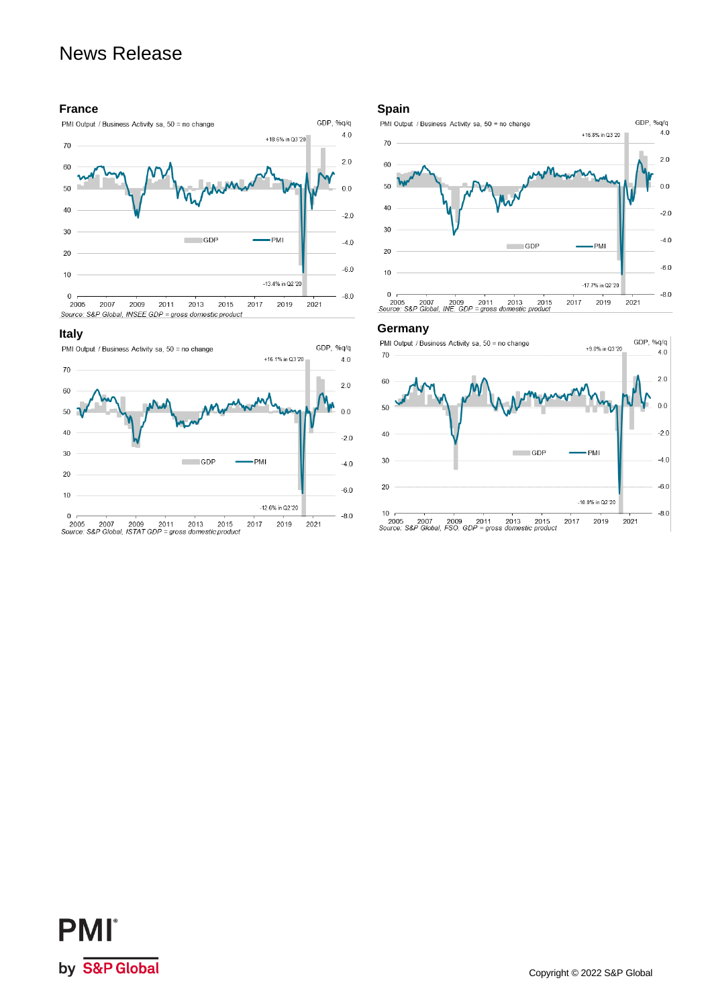## News Release

#### **France**



#### **Italy**



#### **Spain**



#### **Germany**